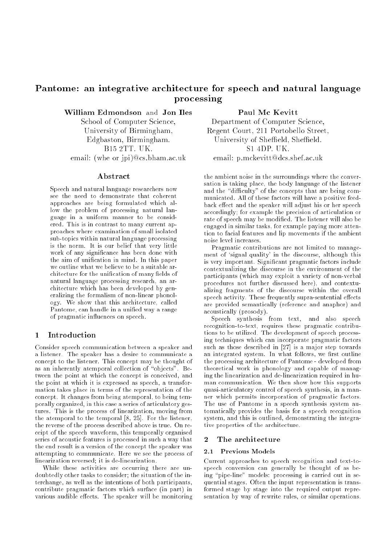# Pantome: an integrative architecture for speech and natural language processing

William Edmondson and Jon Iles

School of Computer Science, University of Birmingham, Edgbaston, Birmingham. emails: (where or jpi) = contractment mea

### Abstract

Speech and natural language researchers now see the need to demonstrate that coherent approaches are being formulated which allow the problem of processing natural language in a uniform manner to be considered. This is in contrast to many current approaches where examination of small isolated sub-topics within natural language processing is the norm. It is our belief that very little work of any signicance has been done with the aim of unication in mind. In this paper we outline what we believe to be a suitable architecture for the unification of many fields of natural language processing research, an architecture which has been developed by generalizing the formalism of non-linear phonology. We show that this architecture, called Pantome, can handle in a unified way a range of pragmatic in
uences on speech.

### Introduction  $\mathbf{1}$

Consider speech communication between a speaker and a listener. The speaker has a desire to communicate a concept to the listener. This concept may be thought of as an inherently atemporal collection of "objects". Between the point at which the concept is conceived, and the point at which it is expressed as speech, a transformation takes place in terms of the representation of the concept. It changes from being atemporal, to being temporally organized, in this case a series of articulatory gestures. This is the process of linearization, moving from the atemporal to the temporal [8, 25]. For the listener, the reverse of the process described above is true. On receipt of the speech waveform, this temporally organised series of acoustic features is processed in such a way that the end result is a version of the concept the speaker was attempting to communicate. Here we see the process of linearization reversed; it is de-linearization.

While these activities are occurring there are undoubtedly other tasks to consider; the situation of the interchange, as well as the intentions of both participants, contribute pragmatic factors which surface (in part) in various audible effects. The speaker will be monitoring

Department of Computer Science, Regent Court, 211 Portobello Street, University of Sheeld. Sheeld, Sheeld. Sheeld. email: p.mckevitt@dcs.shef.ac.uk

the ambient noise in the surroundings where the conversation is taking place, the body language of the listener and the "difficulty" of the concepts that are being communicated. All of these factors will have a positive feedback effect and the speaker will adjust his or her speech accordingly; for example the precision of articulation or rate of speech may be modified. The listener will also be engaged in similar tasks, for example paying more attention to facial features and lip movements if the ambient noise level increases.

Pragmatic contributions are not limited to management of 'signal quality' in the discourse, although this is very important. Signicant pragmatic factors include contextualizing the discourse in the environment of the participants (which may exploit a variety of non-verbal procedures not further discussed here), and contextualizing fragments of the discourse within the overall speech activity. These frequently supra-sentential effects are provided semantically (reference and anaphor) and acoustically (prosody).

Speech synthesis from text, and also speech recognition-to-text, requires these pragmatic contributions to be utilized. The development of speech processing techniques which can incorporate pragmatic factors such as those described in [27] is a major step towards an integrated system. In what follows, we first outline the processing architecture of Pantome - developed from theoretical work in phonology and capable of managing the linearization and de-linearization required in human communication. We then show how this supports quasi-articulatory control of speech synthesis, in a manner which permits incorporation of pragmatic factors. The use of Pantome in a speech synthesis system automatically provides the basis for a speech recognition system, and this is outlined, demonstrating the integrative properties of the architecture.

## 2 The architecture

### $2.1$ **Previous Models**

Current approaches to speech recognition and text-tospeech conversion can generally be thought of as being "pipe-line" models: processing is carried out in sequential stages. Often the input representation is transformed stage by stage into the required output representation by way of rewrite rules, or similar operations.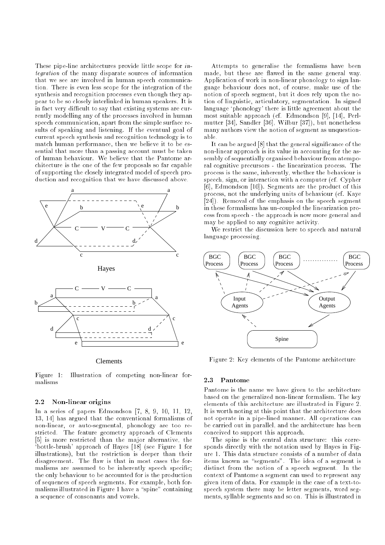These pipe-line architectures provide little scope for integration of the many disparate sources of information that we see are involved in human speech communication. There is even less scope for the integration of the synthesis and recognition processes even though they appear to be so closely interlinked in human speakers. It is in fact very difficult to say that existing systems are currently modelling any of the processes involved in human speech communication, apart from the simple surface results of speaking and listening. If the eventual goal of current speech synthesis and recognition technology is to match human performance, then we believe it to be essential that more than a passing account must be taken of human behaviour. We believe that the Pantome architecture is the one of the few proposals so far capable of supporting the closely integrated model of speech production and recognition that we have discussed above.







Clements

Figure 1: Illustration of competing non-linear formalisms

### 2.2 Non-linear origins

In a series of papers Edmondson [7, 8, 9, 10, 11, 12, 13, 14] has argued that the conventional formalisms of non-linear, or auto-segmental, phonology are too restricted. The feature geometry approach of Clements [5] is more restricted than the major alternative, the `bottle-brush' approach of Hayes [18] (see Figure 1 for illustrations), but the restriction is deeper than their disagreement. The flaw is that in most cases the formalisms are assumed to be inherently speech specic; the only behaviour to be accounted for is the production of sequences of speech segments. For example, both formalisms illustrated in Figure 1 have a "spine" containing a sequence of consonants and vowels.

Attempts to generalise the formalisms have been made, but these are flawed in the same general way. Application of work in non-linear phonology to sign language behaviour does not, of course, make use of the notion of speech segment, but it does rely upon the notion of linguistic, articulatory, segmentation. In signed language `phonology' there is little agreement about the most suitable approach (cf. Edmondson [9], [14], Perlmutter [34], Sandler [36], Wilbur [37]), but nonetheless many authors view the notion of segment as unquestionable.

It can be argued [8] that the general signicance of the non-linear approach is its value in accounting for the assembly of sequentially organised behaviour from atemporal cognitive precursors - the linearization process. The process is the same, inherently, whether the behaviour is speech, sign, or interaction with a computer (cf. Cypher [6], Edmondson [10]). Segments are the product of this process, not the underlying units of behaviour (cf. Kaye [24]). Removal of the emphasis on the speech segment in these formalisms has un-coupled the linearization process from speech - the approach is now more general and may be applied to any cognitive activity.

We restrict the discussion here to speech and natural language processing.



Figure 2: Key elements of the Pantome architecture

### 2.3 Pantome - -

Pantome is the name we have given to the architecture based on the generalized non-linear formalism. The key elements of this architecture are illustrated in Figure 2. It is worth noting at this point that the architecture does not operate in a pipe-lined manner. All operations can be carried out in parallel, and the architecture has been conceived to support this approach.

The spine is the central data structure: this corresponds directly with the notation used by Hayes in Figure 1. This data structure consists of a number of data items known as "segments". The idea of a segment is distinct from the notion of a speech segment. In the context of Pantome a segment can used to represent any given item of data. For example in the case of a text-tospeech system there may be letter segments, word segments, syllable segments and so on. This is illustrated in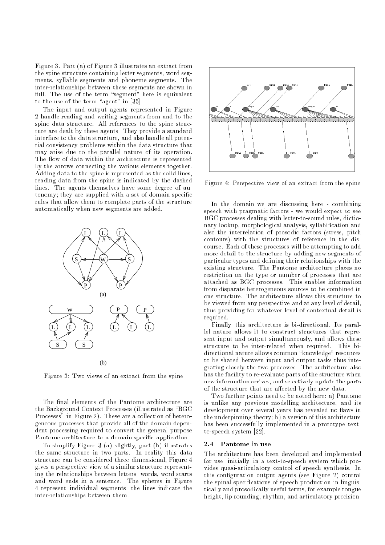Figure 3. Part (a) of Figure 3 illustrates an extract from the spine structure containing letter segments, word segments, syllable segments and phoneme segments. The inter-relationships between these segments are shown in full. The use of the term "segment" here is equivalent to the use of the term "agent" in  $[35]$ .

The input and output agents represented in Figure 2 handle reading and writing segments from and to the spine data structure. All references to the spine structure are dealt by these agents. They provide a standard interface to the data structure, and also handle all potential consistency problems within the data structure that may arise due to the parallel nature of its operation. The flow of data within the architecture is represented by the arrows connecting the various elements together. Adding data to the spine is represented as the solid lines, reading data from the spine is indicated by the dashed lines. The agents themselves have some degree of autonomy; they are supplied with a set of domain specic rules that allow them to complete parts of the structure automatically when new segments are added.



Figure 3: Two views of an extract from the spine

The final elements of the Pantome architecture are the Background Context Processes (illustrated as \BGC Processes" in Figure 2). These are a collection of heterogeneous processes that provide all of the domain dependent processing required to convert the general purpose Pantome architecture to a domain specific application.

To simplify Figure 3 (a) slightly, part (b) illustrates the same structure in two parts. In reality this data structure can be considered three dimensional, Figure 4 gives a perspective view of a similar structure representing the relationships between letters, words, word starts and word ends in a sentence. The spheres in Figure 4 represent individual segments; the lines indicate the inter-relationships between them.



Figure 4: Perspective view of an extract from the spine

In the domain we are discussing here - combining speech with pragmatic factors - we would expect to see BGC processes dealing with letter-to-sound rules, dictionary lookup, morphological analysis, syllabication and also the interrelation of prosodic factors (stress, pitch contours) with the structures of reference in the discourse. Each of these processes will be attempting to add more detail to the structure by adding new segments of particular types and defining their relationships with the existing structure. The Pantome architecture places no restriction on the type or number of processes that are attached as BGC processes. This enables information from disparate heterogeneous sources to be combined in one structure. The architecture allows this structure to be viewed from any perspective and at any level of detail, thus providing for whatever level of contextual detail is required.

Finally, this architecture is bi-directional. Its parallel nature allows it to construct structures that represent input and output simultaneously, and allows these structure to be inter-related when required. This bidirectional nature allows common "knowledge" resources to be shared between input and output tasks thus integrating closely the two processes. The architecture also has the facility to re-evaluate parts of the structure when new information arrives, and selectively update the parts of the structure that are affected by the new data.

Two further points need to be noted here: a) Pantome is unlike any previous modelling architecture, and its development over several years has revealed no flaws in the underpinning theory; b) a version of this architecture has been successfully implemented in a prototype textto-speech system [22].

The architecture has been developed and implemented for use, initially, in a text-to-speech system which provides quasi-articulatory control of speech synthesis. In this conguration output agents (see Figure 2) control the spinal specications of speech production in linguistically and prosodically useful terms, for example tongue height, lip rounding, rhythm, and articulatory precision.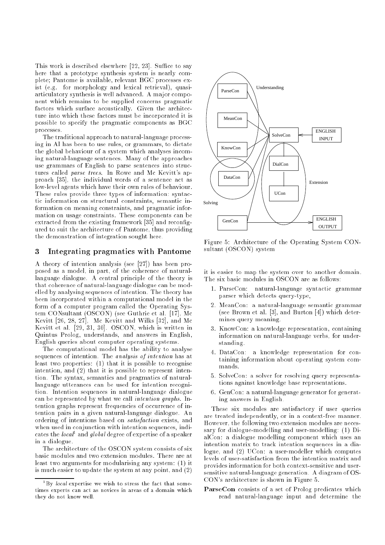This work is described elsewhere  $[22, 23]$ . Suffice to say here that a prototype synthesis system is nearly complete; Pantome is available, relevant BGC processes exist (e.g. for morphology and lexical retrieval), quasiarticulatory synthesis is well advanced. A major component which remains to be supplied concerns pragmatic factors which surface acoustically. Given the architecture into which these factors must be incorporated it is possible to specify the pragmatic components as BGC processes.

The traditional approach to natural-language processing in AI has been to use rules, or grammars, to dictate the global behaviour of a system which analyses incoming natural-language sentences. Many of the approaches use grammars of English to parse sentences into structures called parse trees. In Rowe and Mc Kevitt's approach [35], the individual words of a sentence act as low-level agents which have their own rules of behaviour. These rules provide three types of information: syntactic information on structural constraints, semantic information on meaning constraints, and pragmatic information on usage constraints. These components can be extracted from the existing framework [35] and reconfigured to suit the architecture of Pantome, thus providing the demonstration of integration sought here.

## 3 Integrating pragmatics with Pantome

A theory of intention analysis (see [27]) has been proposed as a model, in part, of the coherence of naturallanguage dialogue. A central principle of the theory is that coherence of natural-language dialogue can be modelled by analysing sequences of intention. The theory has been incorporated within a computational model in the form of a computer program called the Operating System CONsultant (OSCON) (see Guthrie et al. [17], Mc Kevitt [26, 28, 27], Mc Kevitt and Wilks [32], and Mc Kevitt et al. [29, 31, 30]. OSCON, which is written in Quintus Prolog, understands, and answers in English, English queries about computer operating systems.

The computational model has the ability to analyse sequences of intention. The analysis of intention has at least two properties: (1) that it is possible to recognise intention, and (2) that it is possible to represent intention. The syntax, semantics and pragmatics of naturallanguage utterances can be used for intention recognition. Intention sequences in natural-language dialogue can be represented by what we call intention graphs. Intention graphs represent frequencies of occurrence of intention pairs in a given natural-language dialogue. An ordering of intentions based on satisfaction exists, and when used in conjunction with intention sequences, indicates the *tocal* and *quobal* degree of expertise of a speaker in a dialogue.

The architecture of the OSCON system consists of six basic modules and two extension modules. There are at least two arguments for modularising any system: (1) it is much easier to update the system at any point, and (2)



Figure 5: Architecture of the Operating System CONsultant (OSCON) system

it is easier to map the system over to another domain. The six basic modules in OSCON are as follows:

- 1. ParseCon: natural-language syntactic grammar parser which detects query-type,
- 2. MeanCon: a natural-language semantic grammar (see Brown et al. [3], and Burton [4]) which determines query meaning.
- 3. KnowCon: a knowledge representation, containing information on natural-language verbs, for understanding.
- 4. DataCon: a knowledge representation for containing information about operating system commands.
- 5. SolveCon: a solver for resolving query representations against knowledge base representations.
- 6. GenCon: a natural-language generator for generating answers in English.

These six modules are satisfactory if user queries are treated independently, or in a context-free manner. However, the following two extension modules are necessary for dialogue-modelling and user-modelling: (1) DialCon: a dialogue modelling component which uses an intention matrix to track intention sequences in a dialogue, and (2) UCon: a user-modeller which computes levels of user-satisfaction from the intention matrix and provides information for both context-sensitive and usersensitive natural-language generation. A diagram of OS-CON's architecture is shown in Figure 5.

ParseCon consists of a set of Prolog predicates which read natural-language input and determine the

<sup>1</sup> By local expertise we wish to stress the fact that sometimes experts can act as novices in areas of a domain whichthey do not know we we have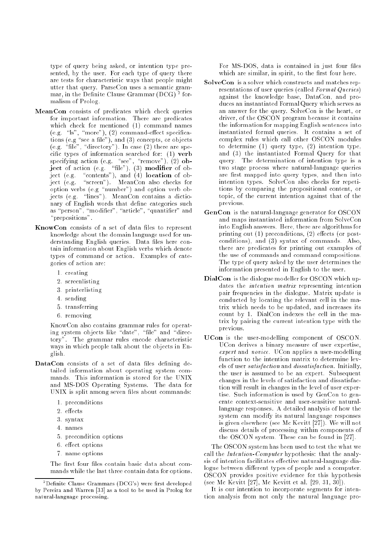type of query being asked, or intention type presented, by the user. For each type of query there are tests for characteristic ways that people might utter that query. ParseCon uses a semantic grammar, in the Denite Clause Grammar (DCG) <sup>2</sup> formalism of Prolog.

- MeanCon consists of predicates which check queries for important information. There are predicates which check for mentioned (1) command names  $(e.g. \text{``ls''}, \text{``more''}), (2) \text{command-effect specifica-}$ tions (e.g  $\sim$  and (3) concepts, or objects, or objects, or objects, or objects, or objects, or objects, or objects, or objects, or objects, or objects, or objects, or objects, or objects, or objects, or objects, or obje  $\mathcal{L}$  , and  $\mathcal{L}$  are specific (2) there are specific are specific and specific specific are specific and specific are specific and  $\mathcal{L}$ cific types of information searched for:  $(1)$  verb specifies (e.g.  $\sim$  ), (2) observe  $\sim$  , (2) or  $\sim$  $\sim$  of action (e.g. ), i.e.  $\sim$  ,  $\sim$   $\sim$ ject (e.g. "contents"), and  $(4)$  location of object (e.g.  $\sim$  0. Mean Con also checks for also checks for also checks for also checks for also checks for also checks for also checks for also checks for also checks for also checks for also checks for also checks for a option verbs (e.g.  $\sim$  0.1  $\sim$  0.1  $\sim$  0.1  $\sim$  0.1  $\sim$  0.1  $\sim$  0.1  $\sim$  0.1  $\sim$  0.1  $\sim$  0.1  $\sim$  0.1  $\sim$  0.1  $\sim$  0.1  $\sim$  0.1  $\sim$  0.1  $\sim$  0.1  $\sim$  0.1  $\sim$  0.1  $\sim$  0.1  $\sim$  0.1  $\sim$  0.1  $\sim$  0.1  $\sim$  0.1  $\sim$  $j$ ects (e.g.  $\ldots$  and  $j$ . MeanContains a dictionnary of English words that define categories such as "person", "modifier", "article", "quantifier" and "prepositions".
- KnowCon consists of a set of data les to represent knowledge about the domain language used for understanding English queries. Data files here contain information about English verbs which denote types of command or action. Examples of categories of action are:
	- 1. creating
	- 2. screenlisting
	- 3. printerlisting
	- 4. sending
	- 5. transferring
	- 6. removing

KnowCon also contains grammar rules for operating system objects like "date", "file" and "directory". The grammar rules encode characteristic ways in which people talk about the objects in English.

- $\blacktriangleright$  access to a set of  $\alpha$  set of data in the defining at tailed information about operating system commands. This information is stored for the UNIX and MS-DOS Operating Systems. The data for UNIX is split among seven files about commands:
	- 1. preconditions
	- 2. effects
	- 3. syntax
	- 4. names
	- 5. precondition options
	- 6. effect options
	- 7. name options

The first four files contain basic data about commands while the last three contain data for options. For MS-DOS, data is contained in just four files which are similar, in spirit, to the first four here.

- SolveCon is a solver which constructs and matches representations of user queries (called Formal Queries) against the knowledge base, DataCon, and produces an instantiated Formal Query which serves as an answer for the query. SolveCon is the heart, or driver, of the OSCON program because it contains the information for mapping English sentences into instantiated formal queries. It contains a set of complex rules which call other OSCON modules to determine (1) query type, (2) intention type, and (3) the instantiated Formal Query for that query. The determination of intention type is a two stage process where natural-language queries are first mapped into query types, and then into intention types. SolveCon also checks for repetitions by comparing the propositional content, or topic, of the current intention against that of the previous.
- Gence Con is the natural-language generator for OSCON and maps instantiated information from SolveCon into English answers. Here, there are algorithms for printing out  $(1)$  preconditions,  $(2)$  effects (or postconditions), and (3) syntax of commands. Also, there are predicates for printing out examples of the use of commands and command compositions. The type of query asked by the user determines the information presented in English to the user.
- DialCon is the dialogue modeller for OSCON which updates the *intention matrix* representing intention pair frequencies in the dialogue. Matrix update is conducted by locating the relevant cell in the matrix which needs to be updated, and increases its count by 1. DialCon indexes the cell in the matrix by pairing the current intention type with the previous.
- UCon is the user-modelling component of OSCON. UCon derives a binary measure of user expertise, expert and novice. UCon applies a user-modelling function to the intention matrix to determine levels of user satisfaction and dissatisfaction. Initially, the user is assumed to be an expert. Subsequent changes in the levels of satisfaction and dissatisfaction will result in changes in the level of user expertise. Such information is used by GenCon to generate context-sensitive and user-sensitive naturallanguage responses. A detailed analysis of how the system can modify its natural language responses is given elsewhere (see Mc Kevitt [27]). We will not discuss details of processing within components of the OSCON system. These can be found in [27].

The OSCON system has been used to test the what we call the Intention-Computer hypothesis: that the analysis of intention facilitates effective natural-language dialogue between different types of people and a computer. OSCON provides positive evidence for this hypothesis (see Mc Kevitt [27], Mc Kevitt et al. [29, 31, 30]).

It is our intention to incorporate segments for intention analysis from not only the natural language pro-

<sup>&</sup>lt;sup>2</sup>Definite Clause Grammars (DCG's) were first developed by Pereira and Warren [33] as a tool to be used in Prolog for natural-language processing.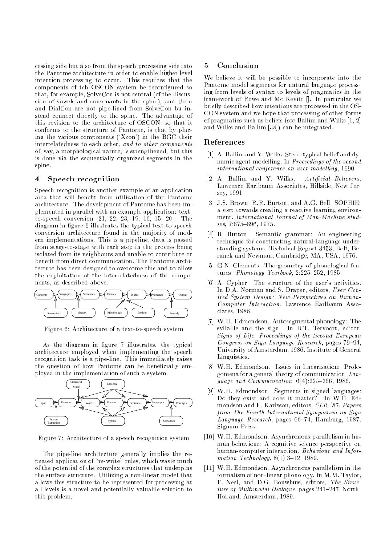cessing side but also from the speech processing side into the Pantome architecture in order to enable higher level intention processing to occur. This requires that the components of teh OSCON system be reconfigured so that, for example, SolveCon is not central (cf the discussion of vowels and consonants in the spine), and Ucon and DialCon are not pipe-lined from SolveCon bu instead connect directly to the spine. The advantage of this revision to the architecture of OSCON, so that it conforms to the structure of Pantome, is that by placing the various components (`Xcon') in the BGC their interrelatedness to each other, and to other components of, say, a morphological nature, is strengthened, but this is done via the sequentially organized segments in the spine.

## 4 Speech recognition

Speech recognition is another example of an application area that will benefit from utilization of the Pantome architecture. The development of Pantome has been implemented in parallel with an example application: textto-speech conversion [21, 22, 23, 19, 16, 15, 20]. The diagram in figure 6 illustrates the typical text-to-speech conversion architecture found in the majority of modern implementations. This is a pipeline, data is passed from stage-to-stage with each step in the process being isolated from its neighbours and unable to contribute or benefit from direct communication. The Pantome architecture has been designed to overcome this and to allow the exploitation of the interrelatedness of the components, as described above.



Figure 6: Architecture of a text-to-speech system

As the diagram in figure 7 illustrates, the typical architecture employed when implementing the speech recognition task is a pipe-line. This immediately raises the question of how Pantome can be beneficially employed in the implementation of such a system.



Figure 7: Architecture of a speech recognition system

The pipe-line architecture generally implies the repeated application of "re-write" rules, which waste much of the potential of the complex structures that underpins the surface structure. Utilizing a non-linear model that allows this structure to be represented for processing at all levels is a novel and potentially valuable solution to this problem.

We believe it will be possible to incorporate into the Pantome model segments for natural language processing from levels of syntax to levels of pragmatics in the framework of Rowe and Mc Kevitt []. In particular we briefly described how intentions are processed in the OS-CON system and we hope that processing of other forms of pragmatics such as beliefs (see Ballim and Wilks [1, 2] and Wilks and Ballim [38]) can be integrated.

### References

- [1] A. Ballim and Y. Wilks. Stereotypical belief and dynamic agent modelling. In Proceedings of the second international conference on user modelling, 1990.
- [2] A. Ballim and Y. Wilks. Artificial Believers. Lawrence Earlbaum Associates, Hillside, New Jersey, 1991.
- [3] J.S. Brown, R.R. Burton, and A.G. Bell. SOPHIE: a step towards creating a reactive learning environment. International Journal of Man-Machine stud $ies, 7:675{-}696, 1975.$
- [4] R. Burton. Semantic grammar: An engineering technique for constructing natural-language understanding systems. Technical Report 3453, Bolt, Beranek and Newman, Cambridge, MA, USA, 1976.
- [5] G.N. Clements. The geometry of phonological features. Phonology Yearbook,  $2:225-252$ ,  $1985$ .
- [6] A. Cypher. The structure of the user's activities. In D.A. Norman and S. Draper, editors, User Centred System Design: New Perspectives on Human-Computer Interaction. Lawrence Earlbaum Associates, 1986.
- [7] W.H. Edmondson. Autosegmental phonology: The syllable and the sign. In B.T. Tervoort, editor, Signs of Life. Proceedings of the Second European Congress on Sign Language Research, pages  $79-94$ , University of Amsterdam, 1986. Institute of General Linguistics.
- [8] W.H. Edmondson. Issues in linearisation: Prolegomena for a general theory of communication. Language and  $Common$ ,  $6(4)$ :  $225-266$ , 1986.
- [9] W.H. Edmondson. Segments in signed languages: Do they exist and does it matter? In W.H. Edmondson and F. Karlsson, editors, SLR '87. Papers from The Fourth International Symposium on Sign  $Language Research$ , pages 66-74, Hamburg, 1987. Signum-Press.
- [10] W.H. Edmondson. Asynchronous parallelism in human behaviour: A cognitive science perspective on human-computer interaction. Behaviour and Information Technology,  $8(1):3-12, 1989$ .
- [11] W.H. Edmondson. Asynchronous parallelism in the formalism of non-linear phonology. In M.M. Taylor, F. Neel, and D.G. Bouwhuis, editors, The Structure of Multimodal Dialogue, pages  $241-247$ . North-Holland, Amsterdam, 1989.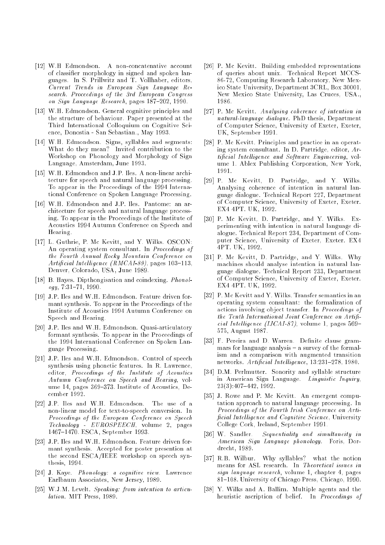- [12] W.H Edmondson. A non-concatenative account of classier morphology in signed and spoken languages. In S. Prillwitz and T. Vollhaber, editors, Current Trends in European Sign Language Research. Proceedings of the 3rd European Congress on Sign Language Research, pages 187-202, 1990.
- [13] W.H. Edmondson. General cognitive principles and the structure of behaviour. Paper presented at the Third International Colloquium on Cognitive Science, Donostia - San Sebastian., May 1993.
- [14] W.H. Edmondson. Signs, syllables and segments: What do they mean? Invited contribution to the Workshop on Phonology and Morphology of Sign Language, Amsterdam, June 1993.
- [15] W.H. Edmondson and J.P. Iles. A non-linear architecture for speech and natural language processing. To appear in the Proceedings of the 1994 International Conference on Spoken Language Processing.
- [16] W.H. Edmondson and J.P. Iles. Pantome: an architecture for speech and natural language processing. To appear in the Proceedings of the Institute of Acoustics 1994 Autumn Conference on Speech and Hearing.
- [17] L. Guthrie, P. Mc Kevitt, and Y. Wilks. OSCON: An operating system consultant. In Proceedings of the Fourth Annual Rocky Mountain Conference on Artificial Intelligence (RMCAI-89), pages  $103-113$ , Denver, Colorado, USA, June 1989.
- [18] B. Hayes. Dipthongisation and coindexing. *Phonol* $ogy, 7:31–71, 1990.$
- [19] J.P. Iles and W.H. Edmondson. Feature driven formant synthesis. To appear in the Proceedings of the Institute of Acoustics 1994 Autumn Conference on Speech and Hearing.
- [20] J.P. Iles and W.H. Edmondson. Quasi-articulatory formant synthesis. To appear in the Proceedings of the 1994 International Conference on Spoken Language Processing.
- [21] J.P. Iles and W.H. Edmondson. Control of speech synthesis using phonetic features. In R. Lawrence, editor, Proceedings of the Institute of Acoustics Autumn Conference on Speech and Hearing, volume 14, pages  $369-373$ . Institute of Acoustics, December 1992.
- [22] J.P. Iles and W.H. Edmondson. The use of a non-linear model for text-to-speech conversion. In Proceedings of the European Conference on Speech Technology - EUROSPEECH, volume 2, pages 1467-1470. ESCA, September 1993.
- [23] J.P. Iles and W.H. Edmondson. Feature driven formant synthesis. Accepted for poster presention at the second ESCA/IEEE workshop on speech synthesis, 1994.
- [24] J. Kaye. Phonology: a cognitive view. Lawrence Earlbaum Associates, New Jersey, 1989.
- [25] W.J.M. Levelt. Speaking: from intention to articulation. MIT Press, 1989.
- [26] P. Mc Kevitt. Building embedded representations of queries about unix. Technical Report MCCS-86-72, Computing Research Laboratory, New Mexico State University, Department 3CRL, Box 30001, New Mexico State University, Las Cruces, USA., 1986.
- [27] P. Mc Kevitt. Analysing coherence of intention in natural-language dialogue. PhD thesis, Department of Computer Science, University of Exeter, Exeter, UK, September 1991.
- [28] P. Mc Kevitt. Principles and practice in an operating system consultant. In D. Partridge, editor, Artificial Intelligence and Software Engineering, volume 1. Ablex Publishing Corporation, New York, 1991.
- [29] P. Mc Kevitt, D. Partridge, and Y. Wilks. Analysing coherence of intention in natural language dialogue. Technical Report 227, Department of Computer Science, University of Exeter, Exeter. EX4 4PT. UK, 1992.
- [30] P. Mc Kevitt, D. Partridge, and Y. Wilks. Experimenting with intention in natural language dialogue. Technical Report 234, Department of Computer Science, University of Exeter, Exeter. EX4 4PT. UK, 1992.
- [31] P. Mc Kevitt, D. Partridge, and Y. Wilks. Why machines should analyse intention in natural language dialogue. Technical Report 233, Department of Computer Science, University of Exeter, Exeter. EX4 4PT. UK, 1992.
- [32] P. Mc Kevitt and Y. Wilks. Transfer semantics in an operating system consultant: the formalization of actions involving object transfer. In Proceedings of the Tenth International Joint Conference on Artificial Intelligence (IJCAI-87), volume 1, pages  $569-$ 575, August 1987.
- [33] F. Pereira and D. Warren. Definite clause grammars for language analysis  $-$  a survey of the formalism and a comparison with augmented transition networks. Artificial Intelligence, 13:231-278, 1980.
- [34] D.M. Perlmutter. Sonority and syllable structure in American Sign Language. Linguistic Inquiry,  $23(3):407{-}442, 1992.$
- [35] J. Rowe and P. Mc Kevitt. An emergent computation approach to natural language processing. In Proceedings of the Fourth Irish Conference on Arti ficial Intelligence and Cognitive Science, University College Cork, Ireland, September 1991.
- [36] W. Sandler. Sequentiality and simultaneity in American Sign Language phonology. Foris, Dordrecht, 1989.
- [37] R.B. Wilbur. Why syllables? what the notion means for ASL research. In Theoretical issues in sign language research, volume 1, chapter 4, pages 81-108. University of Chicago Press, Chicago, 1990.
- [38] Y. Wilks and A. Ballim. Multiple agents and the heuristic ascription of belief. In Proceedings of